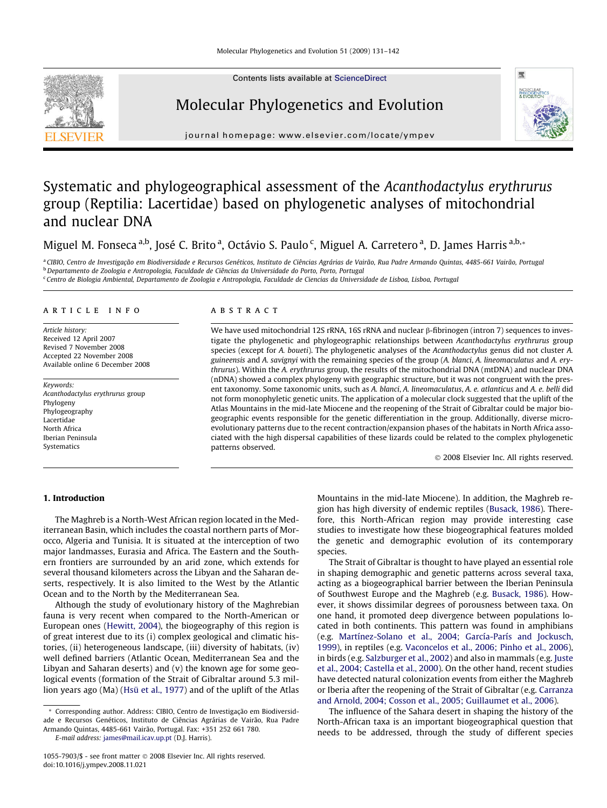

Contents lists available at [ScienceDirect](http://www.sciencedirect.com/science/journal/10557903)

# Molecular Phylogenetics and Evolution



journal homepage: [www.elsevier.com/locate/ympev](http://www.elsevier.com/locate/ympev)

# Systematic and phylogeographical assessment of the Acanthodactylus erythrurus group (Reptilia: Lacertidae) based on phylogenetic analyses of mitochondrial and nuclear DNA

Miguel M. Fonseca <sup>a,b</sup>, José C. Brito <sup>a</sup>, Octávio S. Paulo <sup>c</sup>, Miguel A. Carretero <sup>a</sup>, D. James Harris <sup>a,b,</sup>\*

a CIBIO, Centro de Investigação em Biodiversidade e Recursos Genéticos, Instituto de Ciências Agrárias de Vairão, Rua Padre Armando Quintas, 4485-661 Vairão, Portugal <sup>b</sup> Departamento de Zoologia e Antropologia, Faculdade de Ciências da Universidade do Porto, Porto, Portugal

<sup>c</sup> Centro de Biologia Ambiental, Departamento de Zoologia e Antropologia, Faculdade de Ciencias da Universidade de Lisboa, Lisboa, Portugal

# article info

Article history: Received 12 April 2007 Revised 7 November 2008 Accepted 22 November 2008 Available online 6 December 2008

Keywords: Acanthodactylus erythrurus group Phylogeny Phylogeography Lacertidae North Africa Iberian Peninsula Systematics

# **ABSTRACT**

We have used mitochondrial 12S rRNA, 16S rRNA and nuclear  $\beta$ -fibrinogen (intron 7) sequences to investigate the phylogenetic and phylogeographic relationships between Acanthodactylus erythrurus group species (except for A. boueti). The phylogenetic analyses of the Acanthodactylus genus did not cluster A. guineensis and A. savignyi with the remaining species of the group (A. blanci, A. lineomaculatus and A. erythrurus). Within the A. erythrurus group, the results of the mitochondrial DNA (mtDNA) and nuclear DNA (nDNA) showed a complex phylogeny with geographic structure, but it was not congruent with the present taxonomy. Some taxonomic units, such as A. blanci, A. lineomaculatus, A. e. atlanticus and A. e. belli did not form monophyletic genetic units. The application of a molecular clock suggested that the uplift of the Atlas Mountains in the mid-late Miocene and the reopening of the Strait of Gibraltar could be major biogeographic events responsible for the genetic differentiation in the group. Additionally, diverse microevolutionary patterns due to the recent contraction/expansion phases of the habitats in North Africa associated with the high dispersal capabilities of these lizards could be related to the complex phylogenetic patterns observed.

- 2008 Elsevier Inc. All rights reserved.

# 1. Introduction

The Maghreb is a North-West African region located in the Mediterranean Basin, which includes the coastal northern parts of Morocco, Algeria and Tunisia. It is situated at the interception of two major landmasses, Eurasia and Africa. The Eastern and the Southern frontiers are surrounded by an arid zone, which extends for several thousand kilometers across the Libyan and the Saharan deserts, respectively. It is also limited to the West by the Atlantic Ocean and to the North by the Mediterranean Sea.

Although the study of evolutionary history of the Maghrebian fauna is very recent when compared to the North-American or European ones ([Hewitt, 2004\)](#page-10-0), the biogeography of this region is of great interest due to its (i) complex geological and climatic histories, (ii) heterogeneous landscape, (iii) diversity of habitats, (iv) well defined barriers (Atlantic Ocean, Mediterranean Sea and the Libyan and Saharan deserts) and (v) the known age for some geological events (formation of the Strait of Gibraltar around 5.3 million years ago (Ma) [\(Hsü et al., 1977\)](#page-10-0) and of the uplift of the Atlas

Armando Quintas, 4485-661 Vairão, Portugal. Fax: +351 252 661 780. E-mail address: [james@mail.icav.up.pt](mailto:james@mail.icav.up.pt) (D.J. Harris).

Mountains in the mid-late Miocene). In addition, the Maghreb region has high diversity of endemic reptiles [\(Busack, 1986](#page-10-0)). Therefore, this North-African region may provide interesting case studies to investigate how these biogeographical features molded the genetic and demographic evolution of its contemporary species.

The Strait of Gibraltar is thought to have played an essential role in shaping demographic and genetic patterns across several taxa, acting as a biogeographical barrier between the Iberian Peninsula of Southwest Europe and the Maghreb (e.g. [Busack, 1986](#page-10-0)). However, it shows dissimilar degrees of porousness between taxa. On one hand, it promoted deep divergence between populations located in both continents. This pattern was found in amphibians (e.g. [Martínez-Solano et al., 2004; García-París and Jockusch,](#page-10-0) [1999\)](#page-10-0), in reptiles (e.g. [Vaconcelos et al., 2006; Pinho et al., 2006\)](#page-11-0), in birds (e.g. [Salzburger et al., 2002](#page-11-0)) and also in mammals (e.g. [Juste](#page-10-0) [et al., 2004; Castella et al., 2000](#page-10-0)). On the other hand, recent studies have detected natural colonization events from either the Maghreb or Iberia after the reopening of the Strait of Gibraltar (e.g. [Carranza](#page-10-0) [and Arnold, 2004; Cosson et al., 2005; Guillaumet et al., 2006\)](#page-10-0).

The influence of the Sahara desert in shaping the history of the North-African taxa is an important biogeographical question that needs to be addressed, through the study of different species

<sup>\*</sup> Corresponding author. Address: CIBIO, Centro de Investigação em Biodiversidade e Recursos Genéticos, Instituto de Ciências Agrárias de Vairão, Rua Padre

<sup>1055-7903/\$ -</sup> see front matter @ 2008 Elsevier Inc. All rights reserved. doi:10.1016/j.ympev.2008.11.021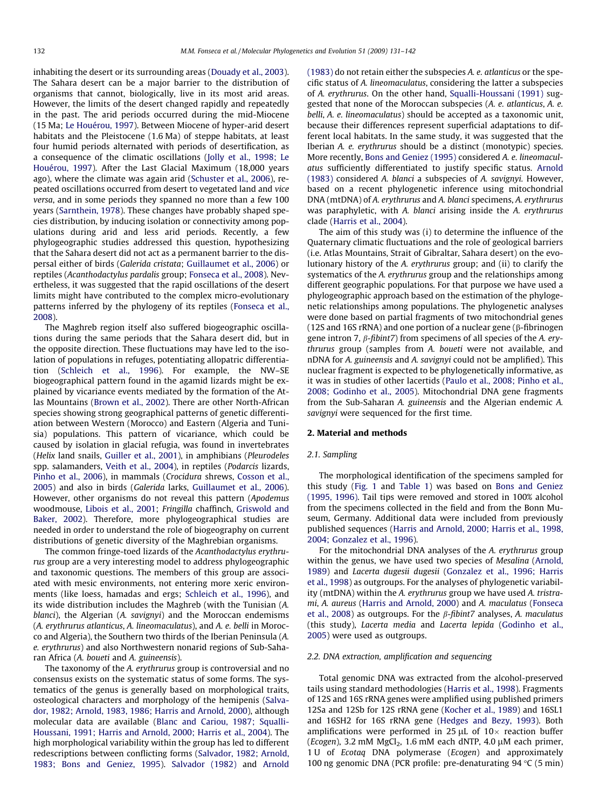inhabiting the desert or its surrounding areas [\(Douady et al., 2003\)](#page-10-0). The Sahara desert can be a major barrier to the distribution of organisms that cannot, biologically, live in its most arid areas. However, the limits of the desert changed rapidly and repeatedly in the past. The arid periods occurred during the mid-Miocene (15 Ma; [Le Houérou, 1997](#page-10-0)). Between Miocene of hyper-arid desert habitats and the Pleistocene (1.6 Ma) of steppe habitats, at least four humid periods alternated with periods of desertification, as a consequence of the climatic oscillations ([Jolly et al., 1998; Le](#page-10-0) [Houérou, 1997\)](#page-10-0). After the Last Glacial Maximum (18,000 years ago), where the climate was again arid ([Schuster et al., 2006](#page-11-0)), repeated oscillations occurred from desert to vegetated land and vice versa, and in some periods they spanned no more than a few 100 years [\(Sarnthein, 1978\)](#page-11-0). These changes have probably shaped species distribution, by inducing isolation or connectivity among populations during arid and less arid periods. Recently, a few phylogeographic studies addressed this question, hypothesizing that the Sahara desert did not act as a permanent barrier to the dispersal either of birds (Galerida cristata; [Guillaumet et al., 2006](#page-10-0)) or reptiles (Acanthodactylus pardalis group; [Fonseca et al., 2008\)](#page-10-0). Nevertheless, it was suggested that the rapid oscillations of the desert limits might have contributed to the complex micro-evolutionary patterns inferred by the phylogeny of its reptiles [\(Fonseca et al.,](#page-10-0) [2008\)](#page-10-0).

The Maghreb region itself also suffered biogeographic oscillations during the same periods that the Sahara desert did, but in the opposite direction. These fluctuations may have led to the isolation of populations in refuges, potentiating allopatric differentiation ([Schleich et al., 1996\)](#page-11-0). For example, the NW–SE biogeographical pattern found in the agamid lizards might be explained by vicariance events mediated by the formation of the Atlas Mountains [\(Brown et al., 2002](#page-10-0)). There are other North-African species showing strong geographical patterns of genetic differentiation between Western (Morocco) and Eastern (Algeria and Tunisia) populations. This pattern of vicariance, which could be caused by isolation in glacial refugia, was found in invertebrates (Helix land snails, [Guiller et al., 2001\)](#page-10-0), in amphibians (Pleurodeles spp. salamanders, [Veith et al., 2004](#page-11-0)), in reptiles (Podarcis lizards, [Pinho et al., 2006\)](#page-10-0), in mammals (Crocidura shrews, [Cosson et al.,](#page-10-0) [2005\)](#page-10-0) and also in birds (Galerida larks, [Guillaumet et al., 2006\)](#page-10-0). However, other organisms do not reveal this pattern (Apodemus woodmouse, [Libois et al., 2001](#page-10-0); Fringilla chaffinch, [Griswold and](#page-10-0) [Baker, 2002](#page-10-0)). Therefore, more phylogeographical studies are needed in order to understand the role of biogeography on current distributions of genetic diversity of the Maghrebian organisms.

The common fringe-toed lizards of the Acanthodactylus erythrurus group are a very interesting model to address phylogeographic and taxonomic questions. The members of this group are associated with mesic environments, not entering more xeric environments (like loess, hamadas and ergs; [Schleich et al., 1996](#page-11-0)), and its wide distribution includes the Maghreb (with the Tunisian (A. blanci), the Algerian (A. savignyi) and the Moroccan endemisms (A. erythrurus atlanticus, A. lineomaculatus), and A. e. belli in Morocco and Algeria), the Southern two thirds of the Iberian Peninsula (A. e. erythrurus) and also Northwestern nonarid regions of Sub-Saharan Africa (A. boueti and A. guineensis).

The taxonomy of the A. erythrurus group is controversial and no consensus exists on the systematic status of some forms. The systematics of the genus is generally based on morphological traits, osteological characters and morphology of the hemipenis ([Salva](#page-11-0)[dor, 1982; Arnold, 1983, 1986; Harris and Arnold, 2000\)](#page-11-0), although molecular data are available ([Blanc and Cariou, 1987; Squalli-](#page-9-0)[Houssani, 1991; Harris and Arnold, 2000; Harris et al., 2004](#page-9-0)). The high morphological variability within the group has led to different redescriptions between conflicting forms ([Salvador, 1982; Arnold,](#page-11-0) [1983; Bons and Geniez, 1995\)](#page-11-0). [Salvador \(1982\)](#page-11-0) and [Arnold](#page-9-0) [\(1983\)](#page-9-0) do not retain either the subspecies A. e. atlanticus or the specific status of A. lineomaculatus, considering the latter a subspecies of A. erythrurus. On the other hand, [Squalli-Houssani \(1991\)](#page-11-0) suggested that none of the Moroccan subspecies (A. e. atlanticus, A. e. belli, A. e. lineomaculatus) should be accepted as a taxonomic unit, because their differences represent superficial adaptations to different local habitats. In the same study, it was suggested that the Iberian A. e. erythrurus should be a distinct (monotypic) species. More recently, [Bons and Geniez \(1995\)](#page-9-0) considered A. e. lineomaculatus sufficiently differentiated to justify specific status. [Arnold](#page-9-0) [\(1983\)](#page-9-0) considered A. blanci a subspecies of A. savignyi. However, based on a recent phylogenetic inference using mitochondrial DNA (mtDNA) of A. erythrurus and A. blanci specimens, A. erythrurus was paraphyletic, with A. blanci arising inside the A. erythrurus clade [\(Harris et al., 2004](#page-10-0)).

The aim of this study was (i) to determine the influence of the Quaternary climatic fluctuations and the role of geological barriers (i.e. Atlas Mountains, Strait of Gibraltar, Sahara desert) on the evolutionary history of the A. erythrurus group; and (ii) to clarify the systematics of the A. erythrurus group and the relationships among different geographic populations. For that purpose we have used a phylogeographic approach based on the estimation of the phylogenetic relationships among populations. The phylogenetic analyses were done based on partial fragments of two mitochondrial genes (12S and 16S rRNA) and one portion of a nuclear gene ( $\beta$ -fibrinogen gene intron 7,  $\beta$ -fibint7) from specimens of all species of the A. erythrurus group (samples from A. boueti were not available, and nDNA for A. guineensis and A. savignyi could not be amplified). This nuclear fragment is expected to be phylogenetically informative, as it was in studies of other lacertids [\(Paulo et al., 2008; Pinho et al.,](#page-10-0) [2008; Godinho et al., 2005\)](#page-10-0). Mitochondrial DNA gene fragments from the Sub-Saharan A. guineensis and the Algerian endemic A. savignyi were sequenced for the first time.

## 2. Material and methods

#### 2.1. Sampling

The morphological identification of the specimens sampled for this study [\(Fig. 1](#page-2-0) and [Table 1](#page-2-0)) was based on [Bons and Geniez](#page-9-0) [\(1995, 1996\).](#page-9-0) Tail tips were removed and stored in 100% alcohol from the specimens collected in the field and from the Bonn Museum, Germany. Additional data were included from previously published sequences ([Harris and Arnold, 2000; Harris et al., 1998,](#page-10-0) [2004; Gonzalez et al., 1996](#page-10-0)).

For the mitochondrial DNA analyses of the A. erythrurus group within the genus, we have used two species of Mesalina [\(Arnold,](#page-9-0) [1989\)](#page-9-0) and Lacerta dugesii dugesii ([Gonzalez et al., 1996; Harris](#page-10-0) [et al., 1998](#page-10-0)) as outgroups. For the analyses of phylogenetic variability (mtDNA) within the A. erythrurus group we have used A. tristrami, A. aureus ([Harris and Arnold, 2000](#page-10-0)) and A. maculatus [\(Fonseca](#page-10-0) [et al., 2008](#page-10-0)) as outgroups. For the  $\beta$ -fibint7 analyses, A. maculatus (this study), Lacerta media and Lacerta lepida ([Godinho et al.,](#page-10-0) [2005\)](#page-10-0) were used as outgroups.

## 2.2. DNA extraction, amplification and sequencing

Total genomic DNA was extracted from the alcohol-preserved tails using standard methodologies [\(Harris et al., 1998\)](#page-10-0). Fragments of 12S and 16S rRNA genes were amplified using published primers 12Sa and 12Sb for 12S rRNA gene (Kocher et [al., 1989\)](#page-10-0) and 16SL1 and 16SH2 for 16S rRNA gene [\(Hedges and Bezy, 1993\)](#page-10-0). Both amplifications were performed in 25  $\mu$ L of 10 $\times$  reaction buffer (Ecogen), 3.2 mM MgCl<sub>2</sub>, 1.6 mM each dNTP, 4.0  $\mu$ M each primer, 1 U of Ecotaq DNA polymerase (Ecogen) and approximately 100 ng genomic DNA (PCR profile: pre-denaturating  $94 °C$  (5 min)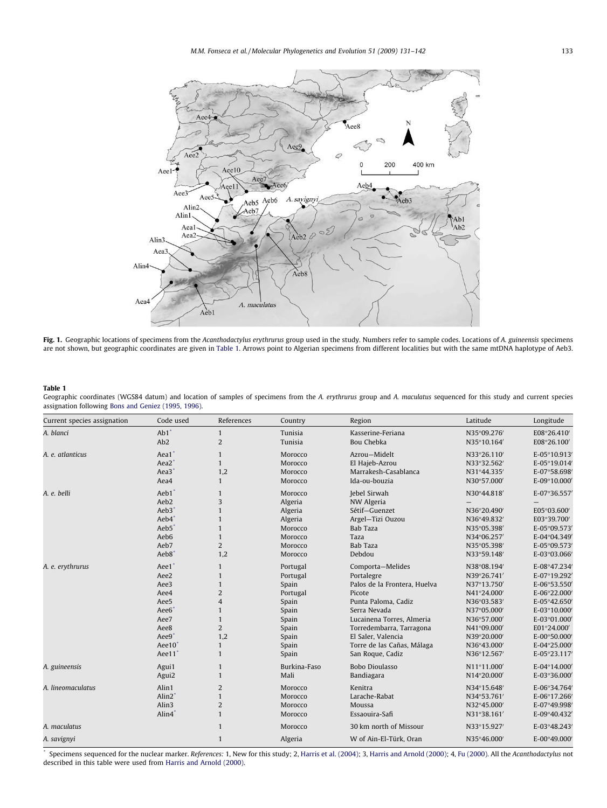<span id="page-2-0"></span>

Fig. 1. Geographic locations of specimens from the Acanthodactylus erythrurus group used in the study. Numbers refer to sample codes. Locations of A. guineensis specimens are not shown, but geographic coordinates are given in Table 1. Arrows point to Algerian specimens from different localities but with the same mtDNA haplotype of Aeb3.

## Table 1

Geographic coordinates (WGS84 datum) and location of samples of specimens from the A. erythrurus group and A. maculatus sequenced for this study and current species assignation following [Bons and Geniez \(1995, 1996\).](#page-9-0)

| Current species assignation | Code used                     | References     | Country      | Region                       | Latitude    | Longitude    |
|-----------------------------|-------------------------------|----------------|--------------|------------------------------|-------------|--------------|
| A. blanci                   | $Ab1$ <sup>*</sup>            | $\mathbf{1}$   | Tunisia      | Kasserine-Feriana            | N35°09.276  | E08°26.410'  |
|                             | Ab2                           | 2              | Tunisia      | Bou Chebka                   | N35°10.164  | E08°26.100'  |
| A. e. atlanticus            | Aea1 <sup>*</sup>             | $\mathbf{1}$   | Morocco      | Azrou-Midelt                 | N33°26.110' | E-05°10.913  |
|                             | Aea2 <sup>*</sup>             | $\mathbf{1}$   | Morocco      | El Hajeb-Azrou               | N33°32.562' | E-05°19.014  |
|                             | Aea3 <sup>*</sup>             | 1,2            | Morocco      | Marrakesh-Casablanca         | N31°44.335' | E-07°58.698  |
|                             | Aea4                          | $\mathbf{1}$   | Morocco      | Ida-ou-bouzia                | N30°57.000' | E-09°10.000' |
| A. e. belli                 | Aeb1 <sup>*</sup>             | $\mathbf{1}$   | Morocco      | Jebel Sirwah                 | N30°44.818' | E-07°36.557  |
|                             | Aeb <sub>2</sub>              | 3              | Algeria      | NW Algeria                   |             |              |
|                             | Aeb3 <sup>*</sup>             | $\mathbf{1}$   | Algeria      | Sétif-Guenzet                | N36°20.490' | E05°03.600'  |
|                             | Aeb4 <sup>*</sup>             | $\mathbf{1}$   | Algeria      | Argel-Tizi Ouzou             | N36°49.832' | E03°39.700'  |
|                             | Aeb <sub>5</sub> <sup>*</sup> | $\mathbf{1}$   | Morocco      | <b>Bab Taza</b>              | N35°05.398' | E-05°09.573  |
|                             | Aeb <sub>6</sub>              | $\mathbf{1}$   | Morocco      | Taza                         | N34°06.257' | E-04°04.349  |
|                             | Aeb7                          | 2              | Morocco      | <b>Bab Taza</b>              | N35°05.398' | E-05°09.573  |
|                             | Aeb8 <sup>*</sup>             | 1,2            | Morocco      | Debdou                       | N33°59.148' | E-03°03.066' |
| A. e. erythrurus            | $Aee1$ <sup>*</sup>           | $\mathbf{1}$   | Portugal     | Comporta-Melides             | N38°08.194' | E-08°47.234  |
|                             | Aee2                          | $\mathbf{1}$   | Portugal     | Portalegre                   | N39°26.741' | E-07°19.292  |
|                             | Aee3                          | $\mathbf{1}$   | Spain        | Palos de la Frontera, Huelva | N37°13.750' | E-06°53.550  |
|                             | Aee4                          | $\overline{2}$ | Portugal     | Picote                       | N41°24.000' | E-06°22.000' |
|                             | Aee <sub>5</sub>              | $\overline{4}$ | Spain        | Punta Paloma, Cadiz          | N36°03.583' | E-05°42.650  |
|                             | Aee <sub>6</sub> <sup>*</sup> | $\mathbf{1}$   | Spain        | Serra Nevada                 | N37°05.000' | E-03°10.000' |
|                             | Aee7                          | $\mathbf{1}$   | Spain        | Lucainena Torres, Almeria    | N36°57.000' | E-03°01.000' |
|                             | Aee8                          | 2              | Spain        | Torredembarra, Tarragona     | N41°09.000' | E01°24.000'  |
|                             | Aee9 <sup>*</sup>             | 1,2            | Spain        | El Saler, Valencia           | N39°20.000' | E-00°50.000' |
|                             | Aee10 <sup>*</sup>            | $\mathbf{1}$   | Spain        | Torre de las Cañas, Málaga   | N36°43.000' | E-04°25.000' |
|                             | Aee11                         | $\mathbf{1}$   | Spain        | San Roque, Cadiz             | N36°12.567' | E-05°23.117  |
| A. guineensis               | Agui1                         | $\mathbf{1}$   | Burkina-Faso | <b>Bobo Dioulasso</b>        | N11°11.000' | E-04°14.000' |
|                             | Agui2                         | $\mathbf{1}$   | Mali         | Bandiagara                   | N14°20.000' | E-03°36.000' |
| A. lineomaculatus           | Alin1                         | 2              | Morocco      | Kenitra                      | N34°15.648' | E-06°34.764  |
|                             | Alin2"                        | $\mathbf{1}$   | Morocco      | Larache-Rabat                | N34°53.761' | E-06°17.266  |
|                             | Alin <sub>3</sub>             | $\overline{2}$ | Morocco      | Moussa                       | N32°45.000' | E-07°49.998  |
|                             | Alin4"                        | $\mathbf{1}$   | Morocco      | Essaouira-Safi               | N31°38.161' | E-09°40.432  |
| A. maculatus                |                               | $\mathbf{1}$   | Morocco      | 30 km north of Missour       | N33°15.927' | E-03°48.243  |
| A. savignyi                 |                               | $\mathbf{1}$   | Algeria      | W of Ain-El-Türk, Oran       | N35°46.000' | E-00°49.000' |

\* Specimens sequenced for the nuclear marker. References: 1, New for this study; 2, [Harris et al. \(2004\);](#page-10-0) 3, [Harris and Arnold \(2000\)](#page-10-0); 4, [Fu \(2000\)](#page-10-0). All the Acanthodactylus not described in this table were used from [Harris and Arnold \(2000\)](#page-10-0).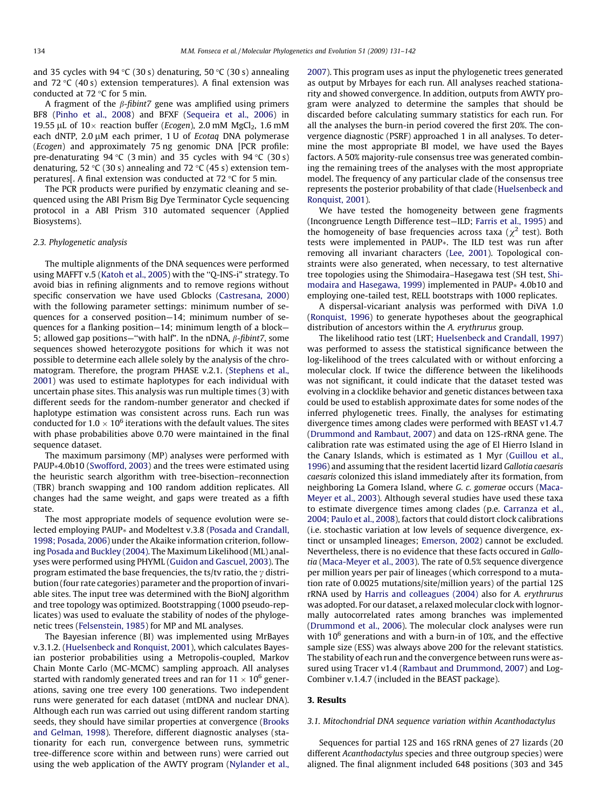and 35 cycles with 94 °C (30 s) denaturing, 50 °C (30 s) annealing and 72 °C (40 s) extension temperatures). A final extension was conducted at 72 $\degree$ C for 5 min.

A fragment of the  $\beta$ -fibint7 gene was amplified using primers BF8 ([Pinho et al., 2008\)](#page-10-0) and BFXF [\(Sequeira et al., 2006](#page-11-0)) in 19.55 µL of  $10\times$  reaction buffer (Ecogen), 2.0 mM MgCl<sub>2</sub>, 1.6 mM each dNTP,  $2.0 \mu$ M each primer, 1 U of Ecotaq DNA polymerase (Ecogen) and approximately 75 ng genomic DNA [PCR profile: pre-denaturating 94 °C (3 min) and 35 cycles with 94 °C (30 s) denaturing, 52 °C (30 s) annealing and 72 °C (45 s) extension temperatures[. A final extension was conducted at  $72$  °C for 5 min.

The PCR products were purified by enzymatic cleaning and sequenced using the ABI Prism Big Dye Terminator Cycle sequencing protocol in a ABI Prism 310 automated sequencer (Applied Biosystems).

## 2.3. Phylogenetic analysis

The multiple alignments of the DNA sequences were performed using MAFFT v.5 [\(Katoh et al., 2005](#page-10-0)) with the ''Q-INS-i" strategy. To avoid bias in refining alignments and to remove regions without specific conservation we have used Gblocks [\(Castresana, 2000\)](#page-10-0) with the following parameter settings: minimum number of sequences for a conserved position—14; minimum number of sequences for a flanking position—14; minimum length of a block— 5; allowed gap positions—"with half". In the nDNA,  $\beta$ -fibint7, some sequences showed heterozygote positions for which it was not possible to determine each allele solely by the analysis of the chromatogram. Therefore, the program PHASE v.2.1. ([Stephens et al.,](#page-11-0) [2001\)](#page-11-0) was used to estimate haplotypes for each individual with uncertain phase sites. This analysis was run multiple times (3) with different seeds for the random-number generator and checked if haplotype estimation was consistent across runs. Each run was conducted for 1.0  $\times$  10 $^6$  iterations with the default values. The sites with phase probabilities above 0.70 were maintained in the final sequence dataset.

The maximum parsimony (MP) analyses were performed with PAUP4.0b10 [\(Swofford, 2003](#page-11-0)) and the trees were estimated using the heuristic search algorithm with tree-bisection–reconnection (TBR) branch swapping and 100 random addition replicates. All changes had the same weight, and gaps were treated as a fifth state.

The most appropriate models of sequence evolution were se-lected employing PAUP\* and Modeltest v.3.8 ([Posada and Crandall,](#page-10-0) [1998; Posada, 2006\)](#page-10-0) under the Akaike information criterion, following [Posada and Buckley \(2004\)](#page-10-0). The Maximum Likelihood (ML) analyses were performed using PHYML ([Guidon and Gascuel, 2003](#page-10-0)). The program estimated the base frequencies, the ts/tv ratio, the  $\gamma$  distribution (four rate categories) parameter and the proportion of invariable sites. The input tree was determined with the BioNJ algorithm and tree topology was optimized. Bootstrapping (1000 pseudo-replicates) was used to evaluate the stability of nodes of the phylogenetic trees [\(Felsenstein, 1985](#page-10-0)) for MP and ML analyses.

The Bayesian inference (BI) was implemented using MrBayes v.3.1.2. [\(Huelsenbeck and Ronquist, 2001](#page-10-0)), which calculates Bayesian posterior probabilities using a Metropolis-coupled, Markov Chain Monte Carlo (MC-MCMC) sampling approach. All analyses started with randomly generated trees and ran for 11  $\times$  10 $^6$  generations, saving one tree every 100 generations. Two independent runs were generated for each dataset (mtDNA and nuclear DNA). Although each run was carried out using different random starting seeds, they should have similar properties at convergence [\(Brooks](#page-10-0) [and Gelman, 1998\)](#page-10-0). Therefore, different diagnostic analyses (stationarity for each run, convergence between runs, symmetric tree-difference score within and between runs) were carried out using the web application of the AWTY program [\(Nylander et al.,](#page-10-0)

[2007\)](#page-10-0). This program uses as input the phylogenetic trees generated as output by Mrbayes for each run. All analyses reached stationarity and showed convergence. In addition, outputs from AWTY program were analyzed to determine the samples that should be discarded before calculating summary statistics for each run. For all the analyses the burn-in period covered the first 20%. The convergence diagnostic (PSRF) approached 1 in all analyses. To determine the most appropriate BI model, we have used the Bayes factors. A 50% majority-rule consensus tree was generated combining the remaining trees of the analyses with the most appropriate model. The frequency of any particular clade of the consensus tree represents the posterior probability of that clade ([Huelsenbeck and](#page-10-0) [Ronquist, 2001\)](#page-10-0).

We have tested the homogeneity between gene fragments (Incongruence Length Difference test—ILD; [Farris et al., 1995](#page-10-0)) and the homogeneity of base frequencies across taxa ( $\chi^2$  test). Both tests were implemented in PAUP\*. The ILD test was run after removing all invariant characters ([Lee, 2001\)](#page-10-0). Topological constraints were also generated, when necessary, to test alternative tree topologies using the Shimodaira–Hasegawa test (SH test, [Shi](#page-11-0)[modaira and Hasegawa, 1999](#page-11-0)) implemented in PAUP $*$  4.0b10 and employing one-tailed test, RELL bootstraps with 1000 replicates.

A dispersal-vicariant analysis was performed with DiVA 1.0 ([Ronquist, 1996\)](#page-11-0) to generate hypotheses about the geographical distribution of ancestors within the A. erythrurus group.

The likelihood ratio test (LRT; [Huelsenbeck and Crandall, 1997\)](#page-10-0) was performed to assess the statistical significance between the log-likelihood of the trees calculated with or without enforcing a molecular clock. If twice the difference between the likelihoods was not significant, it could indicate that the dataset tested was evolving in a clocklike behavior and genetic distances between taxa could be used to establish approximate dates for some nodes of the inferred phylogenetic trees. Finally, the analyses for estimating divergence times among clades were performed with BEAST v1.4.7 ([Drummond and Rambaut, 2007\)](#page-10-0) and data on 12S-rRNA gene. The calibration rate was estimated using the age of El Hierro Island in the Canary Islands, which is estimated as 1 Myr ([Guillou et al.,](#page-10-0) [1996\)](#page-10-0) and assuming that the resident lacertid lizard Gallotia caesaris caesaris colonized this island immediately after its formation, from neighboring La Gomera Island, where G. c. gomerae occurs [\(Maca-](#page-10-0)[Meyer et al., 2003](#page-10-0)). Although several studies have used these taxa to estimate divergence times among clades (p.e. [Carranza et al.,](#page-10-0) [2004; Paulo et al., 2008\)](#page-10-0), factors that could distort clock calibrations (i.e. stochastic variation at low levels of sequence divergence, extinct or unsampled lineages; [Emerson, 2002](#page-10-0)) cannot be excluded. Nevertheless, there is no evidence that these facts occured in Gallotia [\(Maca-Meyer et al., 2003\)](#page-10-0). The rate of 0.5% sequence divergence per million years per pair of lineages (which correspond to a mutation rate of 0.0025 mutations/site/million years) of the partial 12S rRNA used by [Harris and colleagues \(2004\)](#page-10-0) also for A. erythrurus was adopted. For our dataset, a relaxed molecular clock with lognormally autocorrelated rates among branches was implemented ([Drummond et al., 2006](#page-10-0)). The molecular clock analyses were run with  $10^6$  generations and with a burn-in of 10%, and the effective sample size (ESS) was always above 200 for the relevant statistics. The stability of each run and the convergence between runs were assured using Tracer v1.4 [\(Rambaut and Drummond, 2007\)](#page-11-0) and Log-Combiner v.1.4.7 (included in the BEAST package).

## 3. Results

## 3.1. Mitochondrial DNA sequence variation within Acanthodactylus

Sequences for partial 12S and 16S rRNA genes of 27 lizards (20 different Acanthodactylus species and three outgroup species) were aligned. The final alignment included 648 positions (303 and 345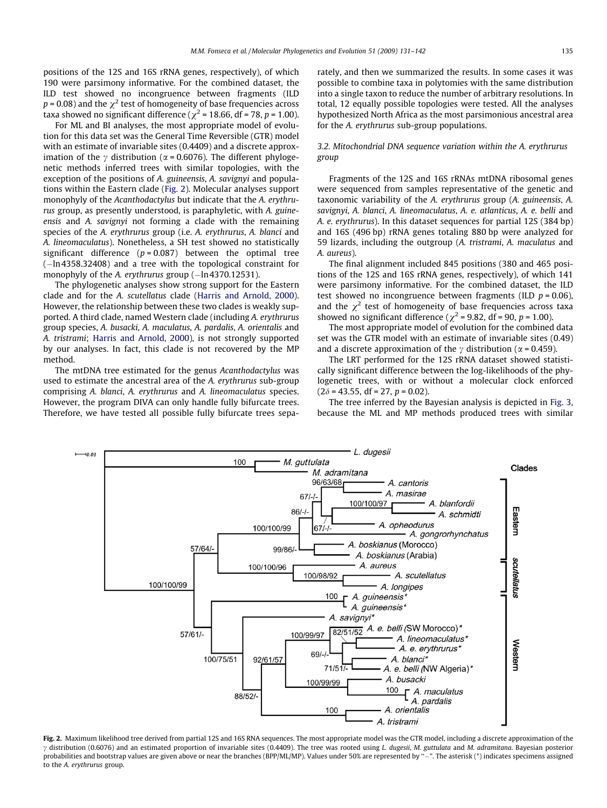<span id="page-4-0"></span>positions of the 12S and 16S rRNA genes, respectively), of which 190 were parsimony informative. For the combined dataset, the ILD test showed no incongruence between fragments (ILD  $p = 0.08$ ) and the  $\gamma^2$  test of homogeneity of base frequencies across taxa showed no significant difference ( $\chi^2$  = 18.66, df = 78, p = 1.00).

For ML and BI analyses, the most appropriate model of evolution for this data set was the General Time Reversible (GTR) model with an estimate of invariable sites (0.4409) and a discrete approximation of the  $\gamma$  distribution ( $\alpha$  = 0.6076). The different phylogenetic methods inferred trees with similar topologies, with the exception of the positions of A. guineensis, A. savignyi and populations within the Eastern clade (Fig. 2). Molecular analyses support monophyly of the Acanthodactylus but indicate that the A. erythrurus group, as presently understood, is paraphyletic, with A. guineensis and A. savignyi not forming a clade with the remaining species of the A. erythrurus group (i.e. A. erythrurus, A. blanci and A. lineomaculatus). Nonetheless, a SH test showed no statistically significant difference ( $p = 0.087$ ) between the optimal tree  $(-ln4358.32408)$  and a tree with the topological constraint for monophyly of the A. erythrurus group  $(-ln 4370.12531)$ .

The phylogenetic analyses show strong support for the Eastern clade and for the A. scutellatus clade ([Harris and Arnold, 2000\)](#page-10-0). However, the relationship between these two clades is weakly supported. A third clade, named Western clade (including A. erythrurus group species, A. busacki, A. maculatus, A. pardalis, A. orientalis and A. tristrami; [Harris and Arnold, 2000\)](#page-10-0), is not strongly supported by our analyses. In fact, this clade is not recovered by the MP method.

The mtDNA tree estimated for the genus Acanthodactylus was used to estimate the ancestral area of the A. erythrurus sub-group comprising A. blanci, A. erythrurus and A. lineomaculatus species. However, the program DIVA can only handle fully bifurcate trees. Therefore, we have tested all possible fully bifurcate trees separately, and then we summarized the results. In some cases it was possible to combine taxa in polytomies with the same distribution into a single taxon to reduce the number of arbitrary resolutions. In total, 12 equally possible topologies were tested. All the analyses hypothesized North Africa as the most parsimonious ancestral area for the A. erythrurus sub-group populations.

## 3.2. Mitochondrial DNA sequence variation within the A. erythrurus group

Fragments of the 12S and 16S rRNAs mtDNA ribosomal genes were sequenced from samples representative of the genetic and taxonomic variability of the A. erythrurus group (A. guineensis, A. savignyi, A. blanci, A. lineomaculatus, A. e. atlanticus, A. e. belli and A. e. erythrurus). In this dataset sequences for partial 12S (384 bp) and 16S (496 bp) rRNA genes totaling 880 bp were analyzed for 59 lizards, including the outgroup (A. tristrami, A. maculatus and A. aureus).

The final alignment included 845 positions (380 and 465 positions of the 12S and 16S rRNA genes, respectively), of which 141 were parsimony informative. For the combined dataset, the ILD test showed no incongruence between fragments (ILD  $p = 0.06$ ), and the  $\chi^2$  test of homogeneity of base frequencies across taxa showed no significant difference ( $\chi^2$  = 9.82, df = 90, p = 1.00).

The most appropriate model of evolution for the combined data set was the GTR model with an estimate of invariable sites (0.49) and a discrete approximation of the  $\gamma$  distribution ( $\alpha$  = 0.459).

The LRT performed for the 12S rRNA dataset showed statistically significant difference between the log-likelihoods of the phylogenetic trees, with or without a molecular clock enforced  $(2\delta = 43.55, df = 27, p = 0.02)$ .

The tree inferred by the Bayesian analysis is depicted in [Fig. 3,](#page-5-0) because the ML and MP methods produced trees with similar



Fig. 2. Maximum likelihood tree derived from partial 12S and 16S RNA sequences. The most appropriate model was the GTR model, including a discrete approximation of the  $\gamma$  distribution (0.6076) and an estimated proportion of invariable sites (0.4409). The tree was rooted using L. dugesii, M. guttulata and M. adramitana. Bayesian posterior probabilities and bootstrap values are given above or near the branches (BPP/ML/MP). Values under 50% are represented by "-". The asterisk (\*) indicates specimens assigned to the A. erythrurus group.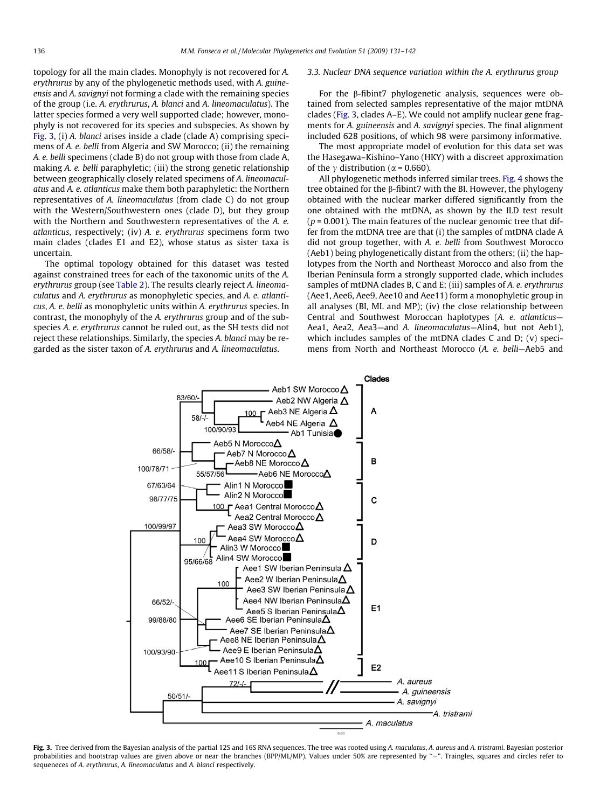<span id="page-5-0"></span>topology for all the main clades. Monophyly is not recovered for A. erythrurus by any of the phylogenetic methods used, with A. guineensis and A. savignyi not forming a clade with the remaining species of the group (i.e. A. erythrurus, A. blanci and A. lineomaculatus). The latter species formed a very well supported clade; however, monophyly is not recovered for its species and subspecies. As shown by Fig. 3, (i) A. blanci arises inside a clade (clade A) comprising specimens of A. e. belli from Algeria and SW Morocco; (ii) the remaining A. e. belli specimens (clade B) do not group with those from clade A, making A. e. belli paraphyletic; (iii) the strong genetic relationship between geographically closely related specimens of A. lineomaculatus and A. e. atlanticus make them both paraphyletic: the Northern representatives of A. lineomaculatus (from clade C) do not group with the Western/Southwestern ones (clade D), but they group with the Northern and Southwestern representatives of the A. e. atlanticus, respectively; (iv) A. e. erythrurus specimens form two main clades (clades E1 and E2), whose status as sister taxa is uncertain.

The optimal topology obtained for this dataset was tested against constrained trees for each of the taxonomic units of the A. erythrurus group (see [Table 2\)](#page-6-0). The results clearly reject A. lineomaculatus and A. erythrurus as monophyletic species, and A. e. atlanticus, A. e. belli as monophyletic units within A. erythrurus species. In contrast, the monophyly of the A. erythrurus group and of the subspecies A. e. erythrurus cannot be ruled out, as the SH tests did not reject these relationships. Similarly, the species A. blanci may be regarded as the sister taxon of A. erythrurus and A. lineomaculatus.

# 3.3. Nuclear DNA sequence variation within the A. erythrurus group

For the b-fibint7 phylogenetic analysis, sequences were obtained from selected samples representative of the major mtDNA clades (Fig. 3, clades A–E). We could not amplify nuclear gene fragments for A. guineensis and A. savignyi species. The final alignment included 628 positions, of which 98 were parsimony informative.

The most appropriate model of evolution for this data set was the Hasegawa–Kishino–Yano (HKY) with a discreet approximation of the  $\gamma$  distribution ( $\alpha$  = 0.660).

All phylogenetic methods inferred similar trees. [Fig. 4](#page-6-0) shows the tree obtained for the  $\beta$ -fibint7 with the BI. However, the phylogeny obtained with the nuclear marker differed significantly from the one obtained with the mtDNA, as shown by the ILD test result  $(p = 0.001)$ . The main features of the nuclear genomic tree that differ from the mtDNA tree are that (i) the samples of mtDNA clade A did not group together, with A. e. belli from Southwest Morocco (Aeb1) being phylogenetically distant from the others; (ii) the haplotypes from the North and Northeast Morocco and also from the Iberian Peninsula form a strongly supported clade, which includes samples of mtDNA clades B, C and E; (iii) samples of A. e. erythrurus (Aee1, Aee6, Aee9, Aee10 and Aee11) form a monophyletic group in all analyses (BI, ML and MP); (iv) the close relationship between Central and Southwest Moroccan haplotypes (A. e. atlanticus— Aea1, Aea2, Aea3—and A. lineomaculatus—Alin4, but not Aeb1), which includes samples of the mtDNA clades C and D; (v) specimens from North and Northeast Morocco (A. e. belli—Aeb5 and



Fig. 3. Tree derived from the Bayesian analysis of the partial 12S and 16S RNA sequences. The tree was rooted using A. maculatus, A. aureus and A. tristrami. Bayesian posterior probabilities and bootstrap values are given above or near the branches (BPP/ML/MP). Values under 50% are represented by "-". Traingles, squares and circles refer to sequeneces of A. erythrurus, A. lineomaculatus and A. blanci respectively.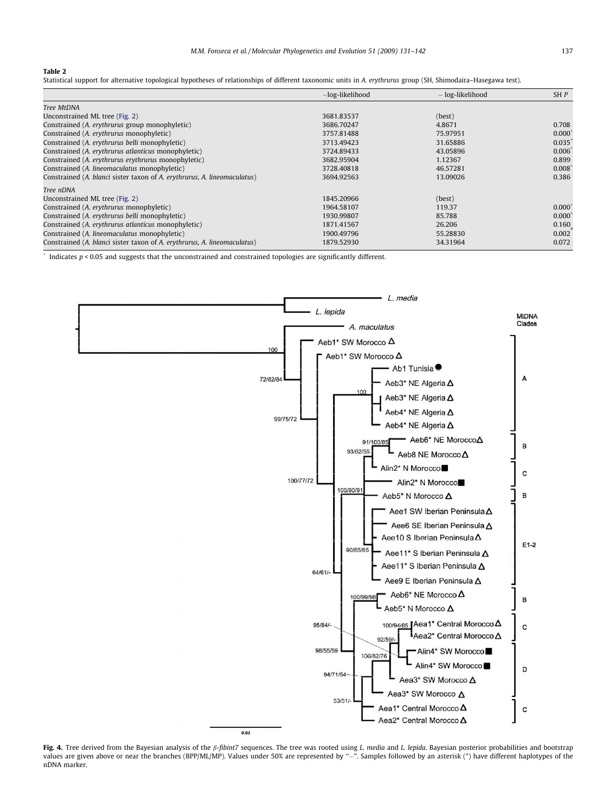#### <span id="page-6-0"></span>Table 2

Statistical support for alternative topological hypotheses of relationships of different taxonomic units in A. erythrurus group (SH, Shimodaira–Hasegawa test).

|                                                                          | -log-likelihood | - log-likelihood | SHP               |
|--------------------------------------------------------------------------|-----------------|------------------|-------------------|
| Tree MtDNA                                                               |                 |                  |                   |
| Unconstrained ML tree (Fig. 2)                                           | 3681.83537      | (best)           |                   |
| Constrained (A. erythrurus group monophyletic)                           | 3686.70247      | 4.8671           | 0.708             |
| Constrained (A. erythrurus monophyletic)                                 | 3757.81488      | 75.97951         | $0.000^{\degree}$ |
| Constrained (A. erythrurus belli monophyletic)                           | 3713.49423      | 31.65886         | 0.035             |
| Constrained (A. erythrurus atlanticus monophyletic)                      | 3724.89433      | 43.05896         | 0.006"            |
| Constrained (A. erythrurus erythrurus monophyletic)                      | 3682.95904      | 1.12367          | 0.899             |
| Constrained (A. lineomaculatus monophyletic)                             | 3728.40818      | 46.57281         | 0.008             |
| Constrained (A. blanci sister taxon of A. erythrurus, A. lineomaculatus) | 3694.92563      | 13.09026         | 0.386             |
| Tree nDNA                                                                |                 |                  |                   |
| Unconstrained ML tree (Fig. 2)                                           | 1845.20966      | (best)           |                   |
| Constrained (A. erythrurus monophyletic)                                 | 1964.58107      | 119.37           | $0.000^*$         |
| Constrained (A. erythrurus belli monophyletic)                           | 1930.99807      | 85.788           | 0.000             |
| Constrained (A. erythrurus atlanticus monophyletic)                      | 1871.41567      | 26.206           | 0.160             |
| Constrained (A. lineomaculatus monophyletic)                             | 1900.49796      | 55.28830         | 0.002             |
| Constrained (A. blanci sister taxon of A. erythrurus, A. lineomaculatus) | 1879.52930      | 34.31964         | 0.072             |

 $*$  Indicates  $p < 0.05$  and suggests that the unconstrained and constrained topologies are significantly different.



Fig. 4. Tree derived from the Bayesian analysis of the  $\beta$ -fibint7 sequences. The tree was rooted using L. media and L. lepida. Bayesian posterior probabilities and bootstrap values are given above or near the branches (BPP/ML/MP). Values under 50% are represented by "-". Samples followed by an asterisk (\*) have different haplotypes of the nDNA marker.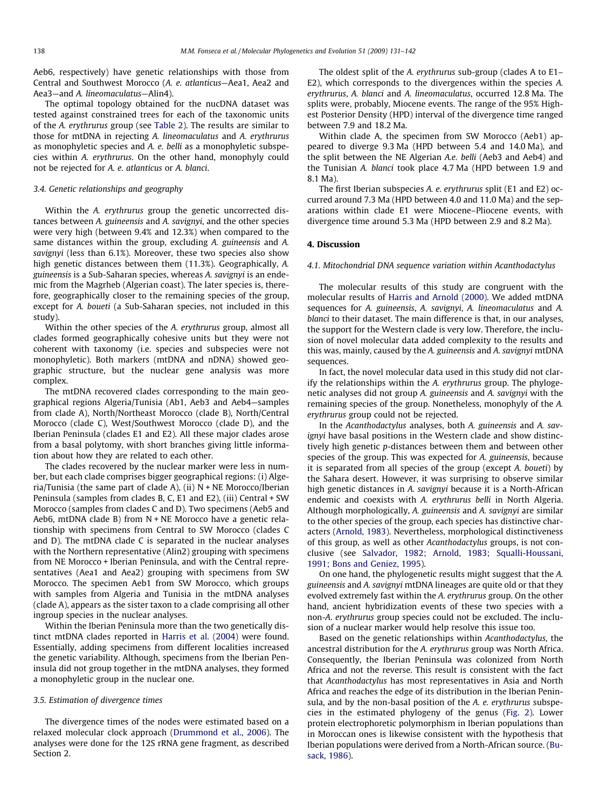Aeb6, respectively) have genetic relationships with those from Central and Southwest Morocco (A. e. atlanticus—Aea1, Aea2 and Aea3—and A. lineomaculatus—Alin4).

The optimal topology obtained for the nucDNA dataset was tested against constrained trees for each of the taxonomic units of the A. erythrurus group (see [Table 2\)](#page-6-0). The results are similar to those for mtDNA in rejecting A. lineomaculatus and A. erythrurus as monophyletic species and A. e. belli as a monophyletic subspecies within A. erythrurus. On the other hand, monophyly could not be rejected for A. e. atlanticus or A. blanci.

## 3.4. Genetic relationships and geography

Within the A. erythrurus group the genetic uncorrected distances between A. guineensis and A. savignyi, and the other species were very high (between 9.4% and 12.3%) when compared to the same distances within the group, excluding A. guineensis and A. savignyi (less than 6.1%). Moreover, these two species also show high genetic distances between them (11.3%). Geographically, A. guineensis is a Sub-Saharan species, whereas A. savignyi is an endemic from the Magrheb (Algerian coast). The later species is, therefore, geographically closer to the remaining species of the group, except for A. boueti (a Sub-Saharan species, not included in this study).

Within the other species of the A. erythrurus group, almost all clades formed geographically cohesive units but they were not coherent with taxonomy (i.e. species and subspecies were not monophyletic). Both markers (mtDNA and nDNA) showed geographic structure, but the nuclear gene analysis was more complex.

The mtDNA recovered clades corresponding to the main geographical regions Algeria/Tunisia (Ab1, Aeb3 and Aeb4—samples from clade A), North/Northeast Morocco (clade B), North/Central Morocco (clade C), West/Southwest Morocco (clade D), and the Iberian Peninsula (clades E1 and E2). All these major clades arose from a basal polytomy, with short branches giving little information about how they are related to each other.

The clades recovered by the nuclear marker were less in number, but each clade comprises bigger geographical regions: (i) Algeria/Tunisia (the same part of clade A), (ii)  $N + NE$  Morocco/Iberian Peninsula (samples from clades B, C, E1 and E2), (iii) Central + SW Morocco (samples from clades C and D). Two specimens (Aeb5 and Aeb6, mtDNA clade B) from  $N + NE$  Morocco have a genetic relationship with specimens from Central to SW Morocco (clades C and D). The mtDNA clade C is separated in the nuclear analyses with the Northern representative (Alin2) grouping with specimens from NE Morocco + Iberian Peninsula, and with the Central representatives (Aea1 and Aea2) grouping with specimens from SW Morocco. The specimen Aeb1 from SW Morocco, which groups with samples from Algeria and Tunisia in the mtDNA analyses (clade A), appears as the sister taxon to a clade comprising all other ingroup species in the nuclear analyses.

Within the Iberian Peninsula more than the two genetically distinct mtDNA clades reported in [Harris et al. \(2004\)](#page-10-0) were found. Essentially, adding specimens from different localities increased the genetic variability. Although, specimens from the Iberian Peninsula did not group together in the mtDNA analyses, they formed a monophyletic group in the nuclear one.

## 3.5. Estimation of divergence times

The divergence times of the nodes were estimated based on a relaxed molecular clock approach [\(Drummond et al., 2006](#page-10-0)). The analyses were done for the 12S rRNA gene fragment, as described Section 2.

The oldest split of the A. erythrurus sub-group (clades A to E1– E2), which corresponds to the divergences within the species A. erythrurus, A. blanci and A. lineomaculatus, occurred 12.8 Ma. The splits were, probably, Miocene events. The range of the 95% Highest Posterior Density (HPD) interval of the divergence time ranged between 7.9 and 18.2 Ma.

Within clade A, the specimen from SW Morocco (Aeb1) appeared to diverge 9.3 Ma (HPD between 5.4 and 14.0 Ma), and the split between the NE Algerian A.e. belli (Aeb3 and Aeb4) and the Tunisian A. blanci took place 4.7 Ma (HPD between 1.9 and 8.1 Ma).

The first Iberian subspecies A. e. erythrurus split (E1 and E2) occurred around 7.3 Ma (HPD between 4.0 and 11.0 Ma) and the separations within clade E1 were Miocene–Pliocene events, with divergence time around 5.3 Ma (HPD between 2.9 and 8.2 Ma).

## 4. Discussion

#### 4.1. Mitochondrial DNA sequence variation within Acanthodactylus

The molecular results of this study are congruent with the molecular results of [Harris and Arnold \(2000\).](#page-10-0) We added mtDNA sequences for A. guineensis, A. savignyi, A. lineomaculatus and A. blanci to their dataset. The main difference is that, in our analyses, the support for the Western clade is very low. Therefore, the inclusion of novel molecular data added complexity to the results and this was, mainly, caused by the A. guineensis and A. savignyi mtDNA sequences.

In fact, the novel molecular data used in this study did not clarify the relationships within the A. erythrurus group. The phylogenetic analyses did not group A. guineensis and A. savignyi with the remaining species of the group. Nonetheless, monophyly of the A. erythrurus group could not be rejected.

In the Acanthodactylus analyses, both A. guineensis and A. savignyi have basal positions in the Western clade and show distinctively high genetic p-distances between them and between other species of the group. This was expected for A. guineensis, because it is separated from all species of the group (except A. boueti) by the Sahara desert. However, it was surprising to observe similar high genetic distances in A. savignyi because it is a North-African endemic and coexists with A. erythrurus belli in North Algeria. Although morphologically, A. guineensis and A. savignyi are similar to the other species of the group, each species has distinctive characters ([Arnold, 1983\)](#page-9-0). Nevertheless, morphological distinctiveness of this group, as well as other Acanthodactylus groups, is not conclusive (see Salvador, [1982; Arnold, 1983; Squalli-Houssani,](#page-11-0) [1991; Bons and Geniez, 1995](#page-11-0)).

On one hand, the phylogenetic results might suggest that the A. guineensis and A. savignyi mtDNA lineages are quite old or that they evolved extremely fast within the A. erythrurus group. On the other hand, ancient hybridization events of these two species with a non-A. erythrurus group species could not be excluded. The inclusion of a nuclear marker would help resolve this issue too.

Based on the genetic relationships within Acanthodactylus, the ancestral distribution for the A. erythrurus group was North Africa. Consequently, the Iberian Peninsula was colonized from North Africa and not the reverse. This result is consistent with the fact that Acanthodactylus has most representatives in Asia and North Africa and reaches the edge of its distribution in the Iberian Peninsula, and by the non-basal position of the A. e. erythrurus subspecies in the estimated phylogeny of the genus ([Fig. 2\)](#page-4-0). Lower protein electrophoretic polymorphism in Iberian populations than in Moroccan ones is likewise consistent with the hypothesis that Iberian populations were derived from a North-African source. ([Bu](#page-10-0)[sack, 1986\)](#page-10-0).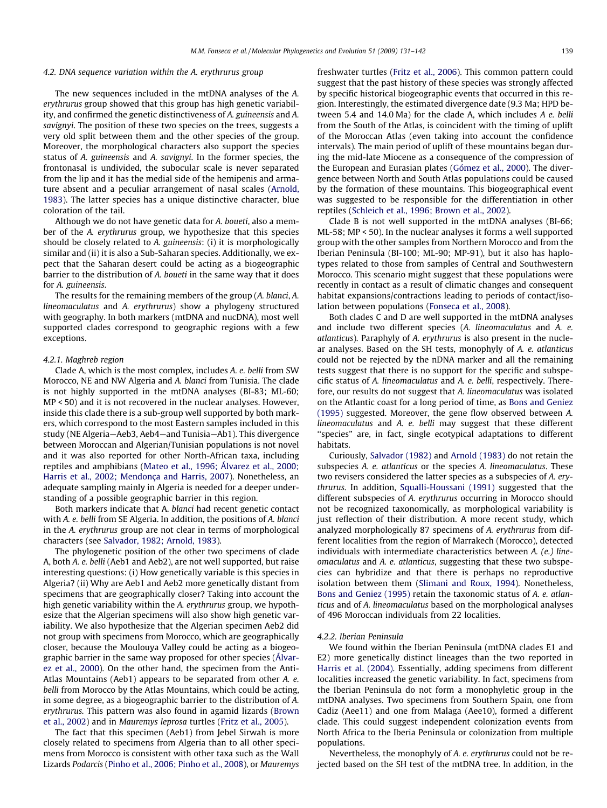#### 4.2. DNA sequence variation within the A. erythrurus group

The new sequences included in the mtDNA analyses of the A. erythrurus group showed that this group has high genetic variability, and confirmed the genetic distinctiveness of A. guineensis and A. savignyi. The position of these two species on the trees, suggests a very old split between them and the other species of the group. Moreover, the morphological characters also support the species status of A. guineensis and A. savignyi. In the former species, the frontonasal is undivided, the subocular scale is never separated from the lip and it has the medial side of the hemipenis and armature absent and a peculiar arrangement of nasal scales [\(Arnold,](#page-9-0) [1983\)](#page-9-0). The latter species has a unique distinctive character, blue coloration of the tail.

Although we do not have genetic data for A. boueti, also a member of the A. erythrurus group, we hypothesize that this species should be closely related to A. guineensis: (i) it is morphologically similar and (ii) it is also a Sub-Saharan species. Additionally, we expect that the Saharan desert could be acting as a biogeographic barrier to the distribution of A. boueti in the same way that it does for A. guineensis.

The results for the remaining members of the group (A. blanci, A. lineomaculatus and A. erythrurus) show a phylogeny structured with geography. In both markers (mtDNA and nucDNA), most well supported clades correspond to geographic regions with a few exceptions.

#### 4.2.1. Maghreb region

Clade A, which is the most complex, includes A. e. belli from SW Morocco, NE and NW Algeria and A. blanci from Tunisia. The clade is not highly supported in the mtDNA analyses (BI-83; ML-60; MP < 50) and it is not recovered in the nuclear analyses. However, inside this clade there is a sub-group well supported by both markers, which correspond to the most Eastern samples included in this study (NE Algeria—Aeb3, Aeb4—and Tunisia—Ab1). This divergence between Moroccan and Algerian/Tunisian populations is not novel and it was also reported for other North-African taxa, including reptiles and amphibians [\(Mateo et al., 1996; Álvarez et al., 2000;](#page-10-0) [Harris et al., 2002; Mendonça and Harris, 2007](#page-10-0)). Nonetheless, an adequate sampling mainly in Algeria is needed for a deeper understanding of a possible geographic barrier in this region.

Both markers indicate that A. blanci had recent genetic contact with A. e. belli from SE Algeria. In addition, the positions of A. blanci in the A. erythrurus group are not clear in terms of morphological characters (see [Salvador, 1982; Arnold, 1983\)](#page-11-0).

The phylogenetic position of the other two specimens of clade A, both A. e. belli (Aeb1 and Aeb2), are not well supported, but raise interesting questions: (i) How genetically variable is this species in Algeria? (ii) Why are Aeb1 and Aeb2 more genetically distant from specimens that are geographically closer? Taking into account the high genetic variability within the A. erythrurus group, we hypothesize that the Algerian specimens will also show high genetic variability. We also hypothesize that the Algerian specimen Aeb2 did not group with specimens from Morocco, which are geographically closer, because the Moulouya Valley could be acting as a biogeographic barrier in the same way proposed for other species [\(Álvar](#page-9-0)[ez et al., 2000](#page-9-0)). On the other hand, the specimen from the Anti-Atlas Mountains (Aeb1) appears to be separated from other A. e. belli from Morocco by the Atlas Mountains, which could be acting, in some degree, as a biogeographic barrier to the distribution of A. erythrurus. This pattern was also found in agamid lizards ([Brown](#page-10-0) [et al., 2002\)](#page-10-0) and in Mauremys leprosa turtles ([Fritz et al., 2005](#page-10-0)).

The fact that this specimen (Aeb1) from Jebel Sirwah is more closely related to specimens from Algeria than to all other specimens from Morocco is consistent with other taxa such as the Wall Lizards Podarcis [\(Pinho et al., 2006; Pinho et al., 2008\)](#page-10-0), or Mauremys freshwater turtles ([Fritz et al., 2006\)](#page-10-0). This common pattern could suggest that the past history of these species was strongly affected by specific historical biogeographic events that occurred in this region. Interestingly, the estimated divergence date (9.3 Ma; HPD between 5.4 and 14.0 Ma) for the clade A, which includes A e. belli from the South of the Atlas, is coincident with the timing of uplift of the Moroccan Atlas (even taking into account the confidence intervals). The main period of uplift of these mountains began during the mid-late Miocene as a consequence of the compression of the European and Eurasian plates ([Gómez et al., 2000\)](#page-10-0). The divergence between North and South Atlas populations could be caused by the formation of these mountains. This biogeographical event was suggested to be responsible for the differentiation in other reptiles ([Schleich et al., 1996; Brown et al., 2002\)](#page-11-0).

Clade B is not well supported in the mtDNA analyses (BI-66; ML-58; MP < 50). In the nuclear analyses it forms a well supported group with the other samples from Northern Morocco and from the Iberian Peninsula (BI-100; ML-90; MP-91), but it also has haplotypes related to those from samples of Central and Southwestern Morocco. This scenario might suggest that these populations were recently in contact as a result of climatic changes and consequent habitat expansions/contractions leading to periods of contact/isolation between populations ([Fonseca et al., 2008\)](#page-10-0).

Both clades C and D are well supported in the mtDNA analyses and include two different species (A. lineomaculatus and A. e. atlanticus). Paraphyly of A. erythrurus is also present in the nuclear analyses. Based on the SH tests, monophyly of A. e. atlanticus could not be rejected by the nDNA marker and all the remaining tests suggest that there is no support for the specific and subspecific status of A. lineomaculatus and A. e. belli, respectively. Therefore, our results do not suggest that A. lineomaculatus was isolated on the Atlantic coast for a long period of time, as [Bons and Geniez](#page-9-0) [\(1995\)](#page-9-0) suggested. Moreover, the gene flow observed between A. lineomaculatus and A. e. belli may suggest that these different ''species" are, in fact, single ecotypical adaptations to different habitats.

Curiously, [Salvador \(1982\)](#page-11-0) and [Arnold \(1983\)](#page-9-0) do not retain the subspecies A. e. atlanticus or the species A. lineomaculatus. These two revisers considered the latter species as a subspecies of A. erythrurus. In addition, [Squalli-Houssani \(1991\)](#page-11-0) suggested that the different subspecies of A. erythrurus occurring in Morocco should not be recognized taxonomically, as morphological variability is just reflection of their distribution. A more recent study, which analyzed morphologically 87 specimens of A. erythrurus from different localities from the region of Marrakech (Morocco), detected individuals with intermediate characteristics between A. (e.) lineomaculatus and A. e. atlanticus, suggesting that these two subspecies can hybridize and that there is perhaps no reproductive isolation between them [\(Slimani and Roux, 1994\)](#page-11-0). Nonetheless, [Bons and Geniez \(1995\)](#page-9-0) retain the taxonomic status of A. e. atlanticus and of A. lineomaculatus based on the morphological analyses of 496 Moroccan individuals from 22 localities.

## 4.2.2. Iberian Peninsula

We found within the Iberian Peninsula (mtDNA clades E1 and E2) more genetically distinct lineages than the two reported in [Harris et al. \(2004\).](#page-10-0) Essentially, adding specimens from different localities increased the genetic variability. In fact, specimens from the Iberian Peninsula do not form a monophyletic group in the mtDNA analyses. Two specimens from Southern Spain, one from Cadiz (Aee11) and one from Malaga (Aee10), formed a different clade. This could suggest independent colonization events from North Africa to the Iberia Peninsula or colonization from multiple populations.

Nevertheless, the monophyly of A. e. erythrurus could not be rejected based on the SH test of the mtDNA tree. In addition, in the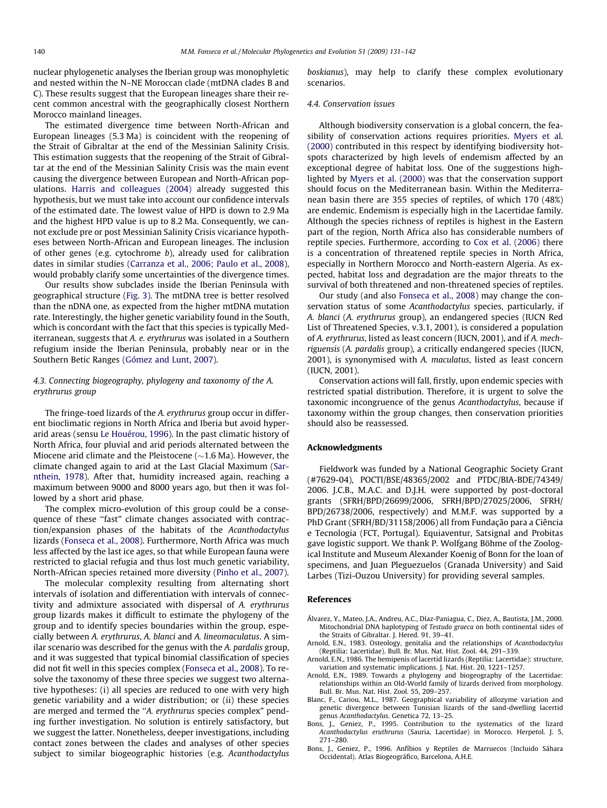<span id="page-9-0"></span>nuclear phylogenetic analyses the Iberian group was monophyletic and nested within the N–NE Moroccan clade (mtDNA clades B and C). These results suggest that the European lineages share their recent common ancestral with the geographically closest Northern Morocco mainland lineages.

The estimated divergence time between North-African and European lineages (5.3 Ma) is coincident with the reopening of the Strait of Gibraltar at the end of the Messinian Salinity Crisis. This estimation suggests that the reopening of the Strait of Gibraltar at the end of the Messinian Salinity Crisis was the main event causing the divergence between European and North-African populations. [Harris and colleagues \(2004\)](#page-10-0) already suggested this hypothesis, but we must take into account our confidence intervals of the estimated date. The lowest value of HPD is down to 2.9 Ma and the highest HPD value is up to 8.2 Ma. Consequently, we cannot exclude pre or post Messinian Salinity Crisis vicariance hypotheses between North-African and European lineages. The inclusion of other genes (e.g. cytochrome b), already used for calibration dates in similar studies ([Carranza et al., 2006; Paulo et al., 2008\)](#page-10-0), would probably clarify some uncertainties of the divergence times.

Our results show subclades inside the Iberian Peninsula with geographical structure [\(Fig. 3\)](#page-5-0). The mtDNA tree is better resolved than the nDNA one, as expected from the higher mtDNA mutation rate. Interestingly, the higher genetic variability found in the South, which is concordant with the fact that this species is typically Mediterranean, suggests that A. e. erythrurus was isolated in a Southern refugium inside the Iberian Peninsula, probably near or in the Southern Betic Ranges [\(Gómez and Lunt, 2007](#page-10-0)).

# 4.3. Connecting biogeography, phylogeny and taxonomy of the A. erythrurus group

The fringe-toed lizards of the A. erythrurus group occur in different bioclimatic regions in North Africa and Iberia but avoid hyperarid areas (sensu [Le Houérou, 1996](#page-10-0)). In the past climatic history of North Africa, four pluvial and arid periods alternated between the Miocene arid climate and the Pleistocene ( $\sim$ 1.6 Ma). However, the climate changed again to arid at the Last Glacial Maximum ([Sar](#page-11-0)[nthein, 1978\)](#page-11-0). After that, humidity increased again, reaching a maximum between 9000 and 8000 years ago, but then it was followed by a short arid phase.

The complex micro-evolution of this group could be a consequence of these ''fast" climate changes associated with contraction/expansion phases of the habitats of the Acanthodactylus lizards [\(Fonseca et al., 2008](#page-10-0)). Furthermore, North Africa was much less affected by the last ice ages, so that while European fauna were restricted to glacial refugia and thus lost much genetic variability, North-African species retained more diversity [\(Pinho et al., 2007\)](#page-10-0).

The molecular complexity resulting from alternating short intervals of isolation and differentiation with intervals of connectivity and admixture associated with dispersal of A. erythrurus group lizards makes it difficult to estimate the phylogeny of the group and to identify species boundaries within the group, especially between A. erythrurus, A. blanci and A. lineomaculatus. A similar scenario was described for the genus with the A. pardalis group, and it was suggested that typical binomial classification of species did not fit well in this species complex ([Fonseca et al., 2008\)](#page-10-0). To resolve the taxonomy of these three species we suggest two alternative hypotheses: (i) all species are reduced to one with very high genetic variability and a wider distribution; or (ii) these species are merged and termed the ''A. erythrurus species complex" pending further investigation. No solution is entirely satisfactory, but we suggest the latter. Nonetheless, deeper investigations, including contact zones between the clades and analyses of other species subject to similar biogeographic histories (e.g. Acanthodactylus boskianus), may help to clarify these complex evolutionary scenarios.

#### 4.4. Conservation issues

Although biodiversity conservation is a global concern, the feasibility of conservation actions requires priorities. [Myers et al.](#page-10-0) [\(2000\)](#page-10-0) contributed in this respect by identifying biodiversity hotspots characterized by high levels of endemism affected by an exceptional degree of habitat loss. One of the suggestions highlighted by [Myers et al. \(2000\)](#page-10-0) was that the conservation support should focus on the Mediterranean basin. Within the Mediterranean basin there are 355 species of reptiles, of which 170 (48%) are endemic. Endemism is especially high in the Lacertidae family. Although the species richness of reptiles is highest in the Eastern part of the region, North Africa also has considerable numbers of reptile species. Furthermore, according to [Cox et al. \(2006\)](#page-10-0) there is a concentration of threatened reptile species in North Africa, especially in Northern Morocco and North-eastern Algeria. As expected, habitat loss and degradation are the major threats to the survival of both threatened and non-threatened species of reptiles.

Our study (and also [Fonseca et al., 2008\)](#page-10-0) may change the conservation status of some Acanthodactylus species, particularly, if A. blanci (A. erythrurus group), an endangered species (IUCN Red List of Threatened Species, v.3.1, 2001), is considered a population of A. erythrurus, listed as least concern (IUCN, 2001), and if A. mechriguensis (A. pardalis group), a critically endangered species (IUCN, 2001), is synonymised with A. maculatus, listed as least concern (IUCN, 2001).

Conservation actions will fall, firstly, upon endemic species with restricted spatial distribution. Therefore, it is urgent to solve the taxonomic incongruence of the genus Acanthodactylus, because if taxonomy within the group changes, then conservation priorities should also be reassessed.

## Acknowledgments

Fieldwork was funded by a National Geographic Society Grant (#7629-04), POCTI/BSE/48365/2002 and PTDC/BIA-BDE/74349/ 2006. J.C.B., M.A.C. and D.J.H. were supported by post-doctoral grants (SFRH/BPD/26699/2006, SFRH/BPD/27025/2006, SFRH/ BPD/26738/2006, respectively) and M.M.F. was supported by a PhD Grant (SFRH/BD/31158/2006) all from Fundação para a Ciência e Tecnologia (FCT, Portugal). Equiaventur, Satsignal and Probitas gave logistic support. We thank P. Wolfgang Böhme of the Zoological Institute and Museum Alexander Koenig of Bonn for the loan of specimens, and Juan Pleguezuelos (Granada University) and Said Larbes (Tizi-Ouzou University) for providing several samples.

## References

- Álvarez, Y., Mateo, J.A., Andreu, A.C., Díaz-Paniagua, C., Diez, A., Bautista, J.M., 2000. Mitochondrial DNA haplotyping of Testudo graeca on both continental sides of the Straits of Gibraltar. J. Hered. 91, 39–41.
- Arnold, E.N., 1983. Osteology, genitalia and the relationships of Acanthodactylus (Reptilia: Lacertidae). Bull. Br. Mus. Nat. Hist. Zool. 44, 291–339.
- Arnold, E.N., 1986. The hemipenis of lacertid lizards (Reptilia: Lacertidae): structure, variation and systematic implications. J. Nat. Hist. 20, 1221–1257.
- Arnold, E.N., 1989. Towards a phylogeny and biogeography of the Lacertidae: relationships within an Old-World family of lizards derived from morphology. Bull. Br. Mus. Nat. Hist. Zool. 55, 209–257.
- Blanc, F., Cariou, M.L., 1987. Geographical variability of allozyme variation and genetic divergence between Tunisian lizards of the sand-dwelling lacertid genus Acanthodactylus. Genetica 72, 13–25.
- Bons, J., Geniez, P., 1995. Contribution to the systematics of the lizard Acanthodactylus eruthrurus (Sauria, Lacertidae) in Morocco. Herpetol. J. 5, 271–280.
- Bons, J., Geniez, P., 1996. Anfíbios y Reptiles de Marruecos (Incluido Sáhara Occidental). Atlas Biogeográfico, Barcelona, A.H.E.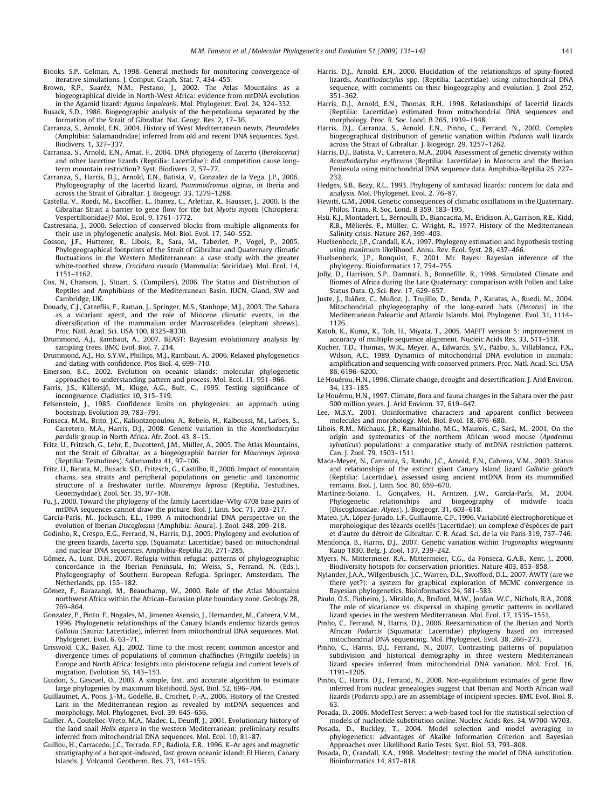- <span id="page-10-0"></span>Brooks, S.P., Gelman, A., 1998. General methods for monitoring convergence of iterative simulations. J. Comput. Graph. Stat. 7, 434–455.
- Brown, R.P., Suaréz, N.M., Pestano, J., 2002. The Atlas Mountains as a biogeographical divide in North-West Africa: evidence from mtDNA evolution in the Agamid lizard: Agama impalearis. Mol. Phylogenet. Evol. 24, 324–332.
- Busack, S.D., 1986. Biogeographic analysis of the herpetofauna separated by the formation of the Strait of Gibraltar. Nat. Geogr. Res. 2, 17–36.
- Carranza, S., Arnold, E.N., 2004. History of West Mediterranean newts, Pleurodeles (Amphibia: Salamandridae) inferred from old and recent DNA sequences. Syst. Biodivers. 1, 327–337.
- Carranza, S., Arnold, E.N., Amat, F., 2004. DNA phylogeny of Lacerta (Iberolacerta) and other lacertine lizards (Reptilia: Lacertidae): did competition cause longterm mountain restriction? Syst. Biodivers. 2, 57–77.
- Carranza, S., Harris, D.J., Arnold, E.N., Batista, V., Gonzalez de la Vega, J.P., 2006. Phylogeography of the lacertid lizard, Psammodromus algirus, in Iberia and across the Strait of Gibraltar. J. Biogeogr. 33, 1279–1288.
- Castella, V., Ruedi, M., Excoffier, L., Ibanez, C., Arlettaz, R., Hausser, J., 2000. Is the Gibraltar Strait a barrier to gene flow for the bat Myotis myotis (Chiroptera: Vespertillionidae)? Mol. Ecol. 9, 1761–1772.
- Castresana, J., 2000. Selection of conserved blocks from multiple alignments for their use in phylogenetic analysis. Mol. Biol. Evol. 17, 540–552.
- Cosson, J.F., Hutterer, R., Libois, R., Sara, M., Taberlet, P., Vogel, P., 2005. Phylogeographical footprints of the Strait of Gibraltar and Quaternary climatic fluctuations in the Western Mediterranean: a case study with the greater white-toothed shrew, Crocidura russula (Mammalia: Soricidae). Mol. Ecol. 14, 1151–1162.
- Cox, N., Chanson, J., Stuart, S. (Compilers), 2006. The Status and Distribution of Reptiles and Amphibians of the Mediterranean Basin. IUCN, Gland, SW and Cambridge, UK.
- Douady, C.J., Catzeflis, F., Raman, J., Springer, M.S., Stanhope, M.J., 2003. The Sahara as a vicariant agent, and the role of Miocene climatic events, in the diversification of the mammalian order Macroscelidea (elephant shrews). Proc. Natl. Acad. Sci. USA 100, 8325–8330.

Drummond, A.J., Rambaut, A., 2007. BEAST: Bayesian evolutionary analysis by sampling trees. BMC Evol. Biol. 7, 214.

- Drummond, A.J., Ho, S.Y.W., Phillips, M.J., Rambaut, A., 2006. Relaxed phylogenetics and dating with confidence. Plos Biol. 4, 699–710.
- Emerson, B.C., 2002. Evolution on oceanic islands: molecular phylogenetic approaches to understanding pattern and process. Mol. Ecol. 11, 951–966.
- Farris, J.S., Källersjö, M., Kluge, A.G., Bult, C., 1995. Testing significance of incongruence. Cladistics 10, 315–319.
- Felsenstein, J., 1985. Confidence limits on phylogenies: an approach using bootstrap. Evolution 39, 783–791.
- Fonseca, M.M., Brito, J.C., Kaliontzopoulou, A., Rebelo, H., Kalboussi, M., Larbes, S., Carretero, M.A., Harris, D.J., 2008. Genetic variation in the Acanthodactylus pardalis group in North Africa. Afr. Zool. 43, 8–15.
- Fritz, U., Fritzsch, G., Lehr, E., Ducotterd, J.M., Müller, A., 2005. The Atlas Mountains, not the Strait of Gibraltar, as a biogeographic barrier for Mauremys leprosa (Reptilia: Testudines). Salamandra 41, 97–106.
- Fritz, U., Barata, M., Busack, S.D., Fritzsch, G., Castilho, R., 2006. Impact of mountain chains, sea straits and peripheral populations on genetic and taxonomic structure of a freshwater turtle, Mauremys leprosa (Reptilia, Testudines, Geoemydidae). Zool. Scr. 35, 97–108.
- Fu, J., 2000. Toward the phylogeny of the family Lacertidae–Why 4708 base pairs of mtDNA sequences cannot draw the picture. Biol. J. Linn. Soc. 71, 203–217.
- García-París, M., Jockusch, E.L., 1999. A mitochondrial DNA perspective on the evolution of Iberian Discoglossus (Amphibia: Anura). J. Zool. 248, 209–218.
- Godinho, R., Crespo, E.G., Ferrand, N., Harris, D.J., 2005. Phylogeny and evolution of the green lizards, Lacerta spp. (Squamata: Lacertidae) based on mitochondrial and nuclear DNA sequences. Amphibia-Reptilia 26, 271–285.
- Gómez, A., Lunt, D.H., 2007. Refugia within refugia: patterns of phylogeographic concordance in the Iberian Peninsula. In: Weiss, S., Ferrand, N. (Eds.), Phylogeography of Southern European Refugia. Springer, Amsterdam, The Netherlands, pp. 155–182.
- Gómez, F., Barazangi, M., Beauchamp, W., 2000. Role of the Atlas Mountains northwest Africa within the African–Eurasian plate boundary zone. Geology 28, 769–864.
- Gonzalez, P., Pinto, F., Nogales, M., Jimenez Asensio, J., Hernandez, M., Cabrera, V.M., 1996. Phylogenetic relationships of the Canary Islands endemic lizards genus Gallotia (Sauria: Lacertidae), inferred from mitochondrial DNA sequences. Mol. Phylogenet. Evol. 6, 63–71.
- Griswold, C.K., Baker, A.J., 2002. Time to the most recent common ancestor and divergence times of populations of common chaffinches (Fringilla coelebs) in Europe and North Africa: Insights into pleistocene refugia and current levels of migration. Evolution 56, 143–153.
- Guidon, S., Gascuel, O., 2003. A simple, fast, and accurate algorithm to estimate large phylogenies by maximum likelihood. Syst. Biol. 52, 696–704.
- Guillaumet, A., Pons, J.-M., Godelle, B., Crochet, P.-A., 2006. History of the Crested Lark in the Mediterranean region as revealed by mtDNA sequences and morphology. Mol. Phylogenet. Evol. 39, 645–656.
- Guiller, A., Coutellec-Vreto, M.A., Madec, L., Deunff, J., 2001. Evolutionary history of the land snail Helix aspera in the western Mediterranean: preliminary results inferred from mitochondrial DNA sequences. Mol. Ecol. 10, 81–87.
- Guillou, H., Carracedo, J.C., Torrado, F.P., Badiola, E.R., 1996. K–Ar ages and magnetic stratigraphy of a hotspot-induced, fast grown oceanic island: El Hierro, Canary Islands. J. Volcanol. Geotherm. Res. 73, 141–155.
- Harris, D.J., Arnold, E.N., 2000. Elucidation of the relationships of spiny-footed lizards, Acanthodactylus spp. (Reptilia: Lacertidae) using mitochondrial DNA sequence, with comments on their biogeography and evolution. J. Zool 252, 351–362.
- Harris, D.J., Arnold, E.N., Thomas, R.H., 1998. Relationships of lacertid lizards (Reptilia: Lacertidae) estimated from mitochondrial DNA sequences and morphology. Proc. R. Soc. Lond. B 265, 1939–1948.
- Harris, D.J., Carranza, S., Arnold, E.N., Pinho, C., Ferrand, N., 2002. Complex biogeographical distribution of genetic variation within Podarcis wall lizards across the Strait of Gibraltar. J. Biogeogr. 29, 1257–1262.
- Harris, D.J., Batista, V., Carretero, M.A., 2004. Assessment of genetic diversity within Acanthodactylus erythrurus (Reptilia: Lacertidae) in Morocco and the Iberian Peninsula using mitochondrial DNA sequence data. Amphibia-Reptilia 25, 227– 232.
- Hedges, S.B., Bezy, R.L., 1993. Phylogeny of xantusiid lizards: concern for data and analysis. Mol. Phylogenet. Evol. 2, 76–87.
- Hewitt, G.M., 2004. Genetic consequences of climatic oscillations in the Quaternary. Philos. Trans. R. Soc. Lond. B 359, 183–195.
- Hsü, K.J., Montadert, L., Bernoulli, D., Biancacita, M., Erickson, A., Garrison, R.E., Kidd, R.B., Mèlierés, F., Müller, C., Wright, R., 1977. History of the Mediterranean Salinity crisis. Nature 267, 399–403.
- Huelsenbeck, J.P., Crandall, K.A., 1997. Phylogeny estimation and hypothesis testing using maximum likelihood. Annu. Rev. Ecol. Syst. 28, 437–466.
- Huelsenbeck, J.P., Ronquist, F., 2001. Mr. Bayes: Bayesian inference of the phylogeny. Bioinformatics 17, 754–755.
- Jolly, D., Harrison, S.P., Damnati, B., Bonnefille, R., 1998. Simulated Climate and Biomes of Africa during the Late Quaternary: comparison with Pollen and Lake Status Data. Q. Sci. Rev. 17, 629–657.
- Juste, J., Ibáñez, C., Muñoz, J., Trujillo, D., Benda, P., Karatas, A., Ruedi, M., 2004. Mitochondrial phylogeography of the long-eared bats (Plecotus) in the Mediterranean Paleartic and Atlantic Islands. Mol. Phylogenet. Evol. 31, 1114– 1126.
- Katoh, K., Kuma, K., Toh, H., Miyata, T., 2005. MAFFT version 5: improvement in accuracy of multiple sequence alignment. Nucleic Acids Res. 33, 511–518.
- Kocher, T.D., Thomas, W.K., Meyer, A., Edwards, S.V., Pääbo, S., Villablanca, F.X., Wilson, A.C., 1989. Dynamics of mitochondrial DNA evolution in animals: amplification and sequencing with conserved primers. Proc. Natl. Acad. Sci. USA 86, 6196–6200.
- Le Houérou, H.N., 1996. Climate change, drought and desertification. J. Arid Environ. 34, 133–185.
- Le Houérou, H.N., 1997. Climate, flora and fauna changes in the Sahara over the past 500 million years. J. Arid Environ. 37, 619–647.
- Lee, M.S.Y., 2001. Uninformative characters and apparent conflict between molecules and morphology. Mol. Biol. Evol. 18, 676–680.
- Libois, R.M., Michaux, J.R., Ramalhinho, M.G., Maurois, C., Sarà, M., 2001. On the origin and systematics of the northern African wood mouse (Apodemus sylvaticus) populations: a comparative study of mtDNA restriction patterns. Can. J. Zool. 79, 1503–1511.
- Maca-Meyer, N., Carranza, S., Rando, J.C., Arnold, E.N., Cabrera, V.M., 2003. Status and relationships of the extinct giant Canary Island lizard Gallotia goliath (Reptilia: Lacertidae), assessed using ancient mtDNA from its mummified remains. Biol. J. Linn. Soc. 80, 659–670.
- Martínez-Solano, I., Gonçalves, H., Arntzen, J.W., García-París, M., 2004. biogeography of midwife toads (Discoglossidae: Alytes). J. Biogeogr. 31, 603–618.
- Mateo, J.A., López-Jurado, L.F., Guillaume, C.P., 1996. Variabilité électrophoretique et morphologique des lézards ocellés (Lacertidae): un complexe d'éspèces de part et d'autre du détroit de Gibraltar. C. R. Acad. Sci. de la vie Paris 319, 737–746.
- Mendonça, B., Harris, D.J., 2007. Genetic variation within Trogonophis wiegmanni Kaup 1830. Belg. J. Zool. 137, 239–242.
- Myers, N., Mittermeier, R.A., Mittermeier, C.G., da Fonseca, G.A.B., Kent, J., 2000. Biodiversity hotspots for conservation priorities. Nature 403, 853–858.
- Nylander, J.A.A., Wilgenbusch, J.C., Warren, D.L., Swofford, D.L., 2007. AWTY (are we there yet?): a system for graphical exploration of MCMC convergence in Bayesian phylogenetics. Bioinformatics 24, 581–583.
- Paulo, O.S., Pinheiro, J., Miraldo, A., Bruford, M.W., Jordan, W.C., Nichols, R.A., 2008. The role of vicariance vs. dispersal in shaping genetic patterns in ocellated lizard species in the western Mediterranean. Mol. Ecol. 17, 1535–1551.
- Pinho, C., Ferrand, N., Harris, D.J., 2006. Reexamination of the Iberian and North African Podarcis (Squamata: Lacertidae) phylogeny based on increased mitochondrial DNA sequencing. Mol. Phylogenet. Evol. 38, 266–273.
- Pinho, C., Harris, D.J., Ferrand, N., 2007. Contrasting patterns of population subdivision and historical demography in three western Mediterranean lizard species inferred from mitochondrial DNA variation. Mol. Ecol. 16, 1191–1205.
- Pinho, C., Harris, D.J., Ferrand, N., 2008. Non-equilibrium estimates of gene flow inferred from nuclear genealogies suggest that Iberian and North African wall lizards (Podarcis spp.) are an assemblage of incipient species. BMC Evol. Biol. 8, 63.
- Posada, D., 2006. ModelTest Server: a web-based tool for the statistical selection of models of nucleotide substitution online. Nucleic Acids Res. 34, W700–W703.
- Posada, D., Buckley, T., 2004. Model selection and model averaging in phylogenetics: advantages of Akaike Information Criterion and Bayesian Approaches over Likelihood Ratio Tests. Syst. Biol. 53, 793–808.
- Posada, D., Crandall, K.A., 1998. Modeltest: testing the model of DNA substitution. Bioinformatics 14, 817–818.